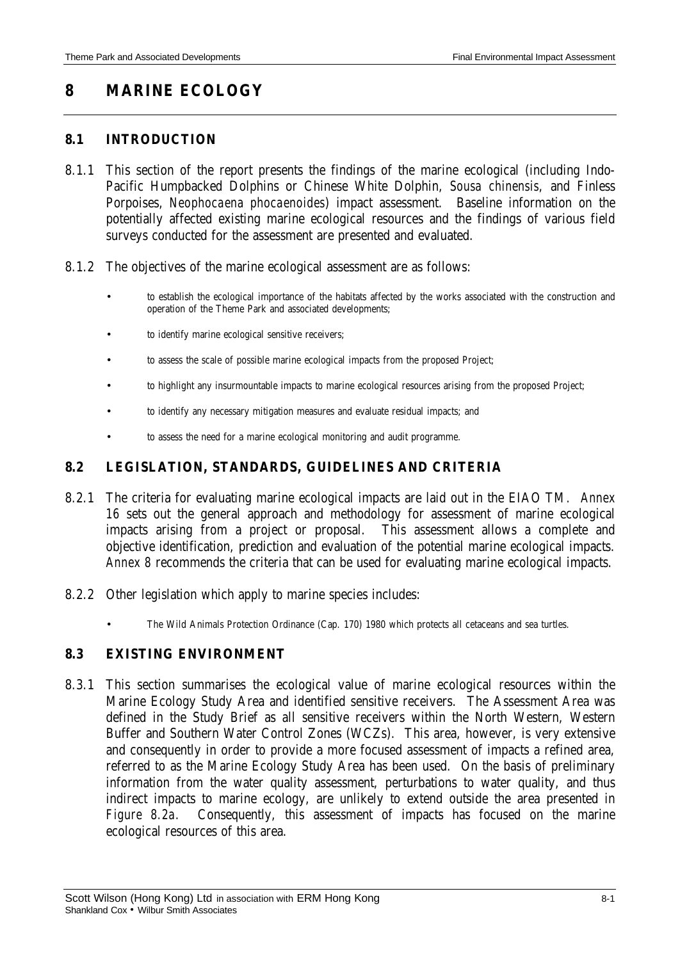# **8 MARINE ECOLOGY**

### **8.1 INTRODUCTION**

- 8.1.1 This section of the report presents the findings of the marine ecological (including Indo-Pacific Humpbacked Dolphins or Chinese White Dolphin, *Sousa chinensis*, and Finless Porpoises, *Neophocaena phocaenoides*) impact assessment. Baseline information on the potentially affected existing marine ecological resources and the findings of various field surveys conducted for the assessment are presented and evaluated.
- 8.1.2 The objectives of the marine ecological assessment are as follows:
	- to establish the ecological importance of the habitats affected by the works associated with the construction and operation of the Theme Park and associated developments;
	- to identify marine ecological sensitive receivers;
	- to assess the scale of possible marine ecological impacts from the proposed Project;
	- to highlight any insurmountable impacts to marine ecological resources arising from the proposed Project;
	- to identify any necessary mitigation measures and evaluate residual impacts; and
	- to assess the need for a marine ecological monitoring and audit programme.

#### **8.2 LEGISLATION, STANDARDS, GUIDELINES AND CRITERIA**

- 8.2.1 The criteria for evaluating marine ecological impacts are laid out in the EIAO TM*. Annex 16* sets out the general approach and methodology for assessment of marine ecological impacts arising from a project or proposal. This assessment allows a complete and objective identification, prediction and evaluation of the potential marine ecological impacts. *Annex 8* recommends the criteria that can be used for evaluating marine ecological impacts.
- 8.2.2 Other legislation which apply to marine species includes:
	- The Wild Animals Protection Ordinance (Cap. 170) 1980 which protects all cetaceans and sea turtles.

#### **8.3 EXISTING ENVIRONMENT**

8.3.1 This section summarises the ecological value of marine ecological resources within the Marine Ecology Study Area and identified sensitive receivers. The Assessment Area was defined in the Study Brief as all sensitive receivers within the North Western, Western Buffer and Southern Water Control Zones (WCZs). This area, however, is very extensive and consequently in order to provide a more focused assessment of impacts a refined area, referred to as the Marine Ecology Study Area has been used. On the basis of preliminary information from the water quality assessment, perturbations to water quality, and thus indirect impacts to marine ecology, are unlikely to extend outside the area presented in *Figure 8.2a*. Consequently, this assessment of impacts has focused on the marine ecological resources of this area.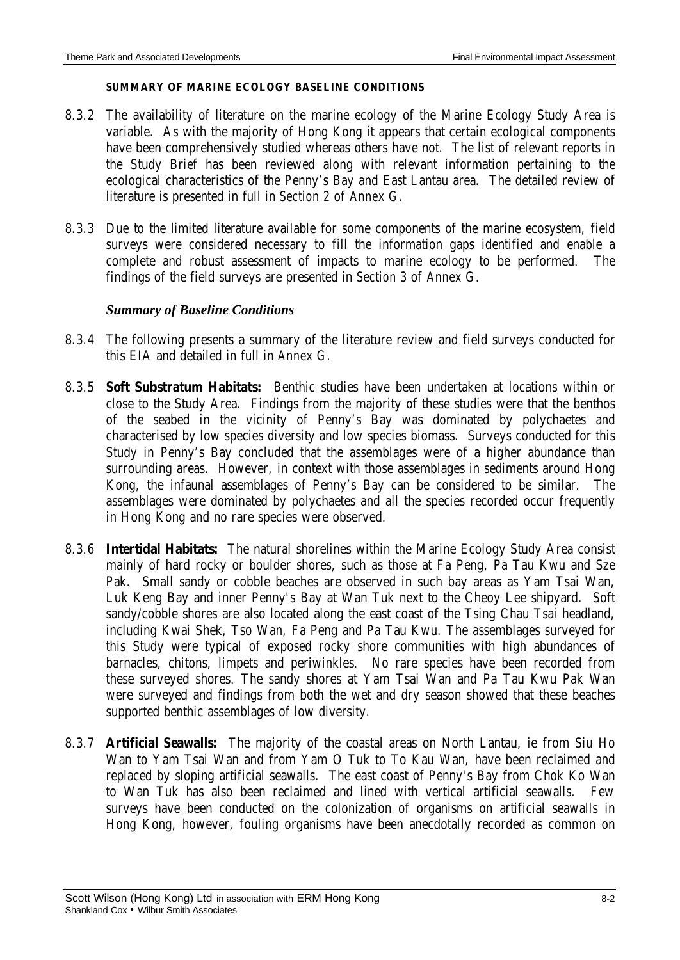#### **SUMMARY OF MARINE ECOLOGY BASELINE CONDITIONS**

- 8.3.2 The availability of literature on the marine ecology of the Marine Ecology Study Area is variable. As with the majority of Hong Kong it appears that certain ecological components have been comprehensively studied whereas others have not. The list of relevant reports in the Study Brief has been reviewed along with relevant information pertaining to the ecological characteristics of the Penny's Bay and East Lantau area. The detailed review of literature is presented in full in *Section 2* of *Annex G*.
- 8.3.3 Due to the limited literature available for some components of the marine ecosystem, field surveys were considered necessary to fill the information gaps identified and enable a complete and robust assessment of impacts to marine ecology to be performed. The findings of the field surveys are presented in *Section 3* of *Annex G*.

#### *Summary of Baseline Conditions*

- 8.3.4 The following presents a summary of the literature review and field surveys conducted for this EIA and detailed in full in *Annex G*.
- 8.3.5 **Soft Substratum Habitats:** Benthic studies have been undertaken at locations within or close to the Study Area. Findings from the majority of these studies were that the benthos of the seabed in the vicinity of Penny's Bay was dominated by polychaetes and characterised by low species diversity and low species biomass. Surveys conducted for this Study in Penny's Bay concluded that the assemblages were of a higher abundance than surrounding areas. However, in context with those assemblages in sediments around Hong Kong, the infaunal assemblages of Penny's Bay can be considered to be similar. The assemblages were dominated by polychaetes and all the species recorded occur frequently in Hong Kong and no rare species were observed.
- 8.3.6 **Intertidal Habitats:** The natural shorelines within the Marine Ecology Study Area consist mainly of hard rocky or boulder shores, such as those at Fa Peng, Pa Tau Kwu and Sze Pak. Small sandy or cobble beaches are observed in such bay areas as Yam Tsai Wan, Luk Keng Bay and inner Penny's Bay at Wan Tuk next to the Cheoy Lee shipyard. Soft sandy/cobble shores are also located along the east coast of the Tsing Chau Tsai headland, including Kwai Shek, Tso Wan, Fa Peng and Pa Tau Kwu. The assemblages surveyed for this Study were typical of exposed rocky shore communities with high abundances of barnacles, chitons, limpets and periwinkles. No rare species have been recorded from these surveyed shores. The sandy shores at Yam Tsai Wan and Pa Tau Kwu Pak Wan were surveyed and findings from both the wet and dry season showed that these beaches supported benthic assemblages of low diversity.
- 8.3.7 **Artificial Seawalls:** The majority of the coastal areas on North Lantau, ie from Siu Ho Wan to Yam Tsai Wan and from Yam O Tuk to To Kau Wan, have been reclaimed and replaced by sloping artificial seawalls. The east coast of Penny's Bay from Chok Ko Wan to Wan Tuk has also been reclaimed and lined with vertical artificial seawalls. Few surveys have been conducted on the colonization of organisms on artificial seawalls in Hong Kong, however, fouling organisms have been anecdotally recorded as common on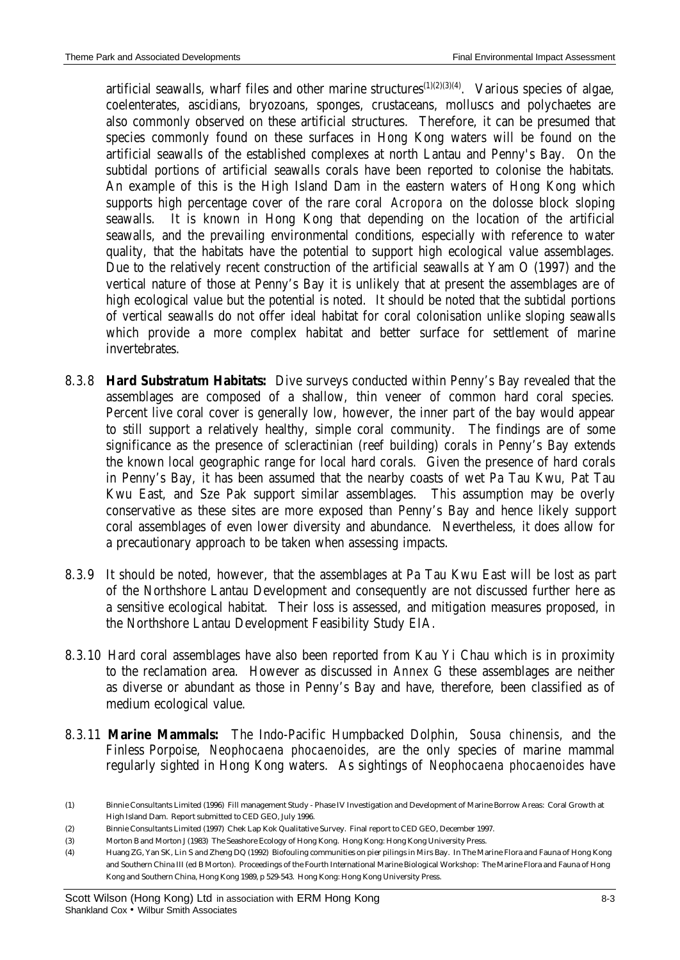artificial seawalls, wharf files and other marine structures $(1)(2)(3)(4)$ . Various species of algae, coelenterates, ascidians, bryozoans, sponges, crustaceans, molluscs and polychaetes are also commonly observed on these artificial structures. Therefore, it can be presumed that species commonly found on these surfaces in Hong Kong waters will be found on the artificial seawalls of the established complexes at north Lantau and Penny's Bay. On the subtidal portions of artificial seawalls corals have been reported to colonise the habitats. An example of this is the High Island Dam in the eastern waters of Hong Kong which supports high percentage cover of the rare coral *Acropora* on the dolosse block sloping seawalls. It is known in Hong Kong that depending on the location of the artificial seawalls, and the prevailing environmental conditions, especially with reference to water quality, that the habitats have the potential to support high ecological value assemblages. Due to the relatively recent construction of the artificial seawalls at Yam O (1997) and the vertical nature of those at Penny's Bay it is unlikely that at present the assemblages are of high ecological value but the potential is noted. It should be noted that the subtidal portions of vertical seawalls do not offer ideal habitat for coral colonisation unlike sloping seawalls which provide a more complex habitat and better surface for settlement of marine invertebrates.

- 8.3.8 **Hard Substratum Habitats:** Dive surveys conducted within Penny's Bay revealed that the assemblages are composed of a shallow, thin veneer of common hard coral species. Percent live coral cover is generally low, however, the inner part of the bay would appear to still support a relatively healthy, simple coral community. The findings are of some significance as the presence of scleractinian (reef building) corals in Penny's Bay extends the known local geographic range for local hard corals. Given the presence of hard corals in Penny's Bay, it has been assumed that the nearby coasts of wet Pa Tau Kwu, Pat Tau Kwu East, and Sze Pak support similar assemblages. This assumption may be overly conservative as these sites are more exposed than Penny's Bay and hence likely support coral assemblages of even lower diversity and abundance. Nevertheless, it does allow for a precautionary approach to be taken when assessing impacts.
- 8.3.9 It should be noted, however, that the assemblages at Pa Tau Kwu East will be lost as part of the Northshore Lantau Development and consequently are not discussed further here as a sensitive ecological habitat. Their loss is assessed, and mitigation measures proposed, in the Northshore Lantau Development Feasibility Study EIA.
- 8.3.10 Hard coral assemblages have also been reported from Kau Yi Chau which is in proximity to the reclamation area. However as discussed in *Annex G* these assemblages are neither as diverse or abundant as those in Penny's Bay and have, therefore, been classified as of medium ecological value.
- 8.3.11 **Marine Mammals:** The Indo-Pacific Humpbacked Dolphin, *Sousa chinensis,* and the Finless Porpoise, *Neophocaena phocaenoides,* are the only species of marine mammal regularly sighted in Hong Kong waters. As sightings of *Neophocaena phocaenoides* have

<sup>(1)</sup> Binnie Consultants Limited (1996) Fill management Study - Phase IV Investigation and Development of Marine Borrow Areas: Coral Growth at High Island Dam. Report submitted to CED GEO, July 1996.

<sup>(2)</sup> Binnie Consultants Limited (1997) Chek Lap Kok Qualitative Survey. Final report to CED GEO, December 1997.

<sup>(3)</sup> Morton B and Morton J (1983) The Seashore Ecology of Hong Kong. Hong Kong: Hong Kong University Press.

<sup>(4)</sup> Huang ZG, Yan SK, Lin S and Zheng DQ (1992) Biofouling communities on pier pilings in Mirs Bay. In The Marine Flora and Fauna of Hong Kong and Southern China III (ed B Morton). Proceedings of the Fourth International Marine Biological Workshop: The Marine Flora and Fauna of Hong Kong and Southern China, Hong Kong 1989, p 529-543. Hong Kong: Hong Kong University Press.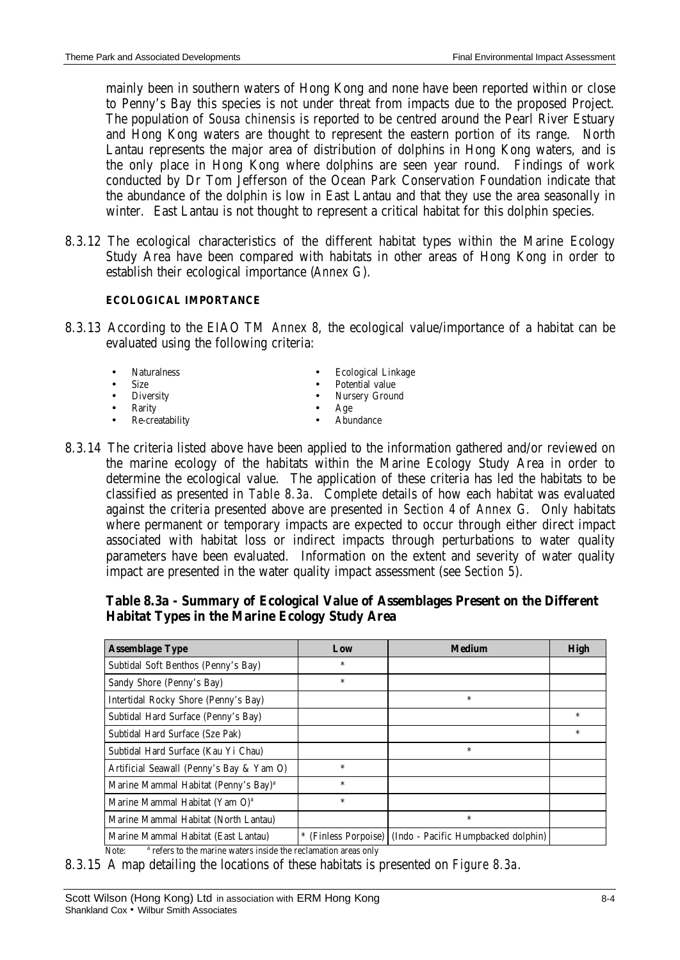mainly been in southern waters of Hong Kong and none have been reported within or close to Penny's Bay this species is not under threat from impacts due to the proposed Project. The population of *Sousa chinensis* is reported to be centred around the Pearl River Estuary and Hong Kong waters are thought to represent the eastern portion of its range. North Lantau represents the major area of distribution of dolphins in Hong Kong waters, and is the only place in Hong Kong where dolphins are seen year round. Findings of work conducted by Dr Tom Jefferson of the Ocean Park Conservation Foundation indicate that the abundance of the dolphin is low in East Lantau and that they use the area seasonally in winter. East Lantau is not thought to represent a critical habitat for this dolphin species.

8.3.12 The ecological characteristics of the different habitat types within the Marine Ecology Study Area have been compared with habitats in other areas of Hong Kong in order to establish their ecological importance (*Annex G*).

#### **ECOLOGICAL IMPORTANCE**

8.3.13 According to the EIAO TM *Annex 8*, the ecological value/importance of a habitat can be evaluated using the following criteria:

|           | • Naturalness     | Ecological Linkage |
|-----------|-------------------|--------------------|
| $\bullet$ | <b>Size</b>       | • Potential value  |
|           | • Diversity       | • Nursery Ground   |
| $\bullet$ | Rarity            | Age<br>$\bullet$   |
|           | • Re-creatability | Abundance          |

8.3.14 The criteria listed above have been applied to the information gathered and/or reviewed on the marine ecology of the habitats within the Marine Ecology Study Area in order to determine the ecological value. The application of these criteria has led the habitats to be classified as presented in *Table 8.3a*. Complete details of how each habitat was evaluated against the criteria presented above are presented in *Section 4* of *Annex G*. Only habitats where permanent or temporary impacts are expected to occur through either direct impact associated with habitat loss or indirect impacts through perturbations to water quality parameters have been evaluated. Information on the extent and severity of water quality impact are presented in the water quality impact assessment (see *Section 5*).

### **Table 8.3a - Summary of Ecological Value of Assemblages Present on the Different Habitat Types in the Marine Ecology Study Area**

| <b>Assemblage Type</b>                           | Low                | <b>Medium</b>                       | <b>High</b> |
|--------------------------------------------------|--------------------|-------------------------------------|-------------|
| Subtidal Soft Benthos (Penny's Bay)              | $\ast$             |                                     |             |
| Sandy Shore (Penny's Bay)                        | $\ast$             |                                     |             |
| Intertidal Rocky Shore (Penny's Bay)             |                    | $\ast$                              |             |
| Subtidal Hard Surface (Penny's Bay)              |                    |                                     | $\ast$      |
| Subtidal Hard Surface (Sze Pak)                  |                    |                                     | $\ast$      |
| Subtidal Hard Surface (Kau Yi Chau)              |                    | $\ast$                              |             |
| Artificial Seawall (Penny's Bay & Yam O)         | $\ast$             |                                     |             |
| Marine Mammal Habitat (Penny's Bay) <sup>a</sup> | $\ast$             |                                     |             |
| Marine Mammal Habitat (Yam O) <sup>a</sup>       | $\ast$             |                                     |             |
| Marine Mammal Habitat (North Lantau)             |                    | $\ast$                              |             |
| Marine Mammal Habitat (East Lantau)              | (Finless Porpoise) | (Indo - Pacific Humpbacked dolphin) |             |

 $\overline{\text{Note}}$ <sup>a</sup> refers to the marine waters inside the reclamation areas only

8.3.15 A map detailing the locations of these habitats is presented on *Figure 8.3a*.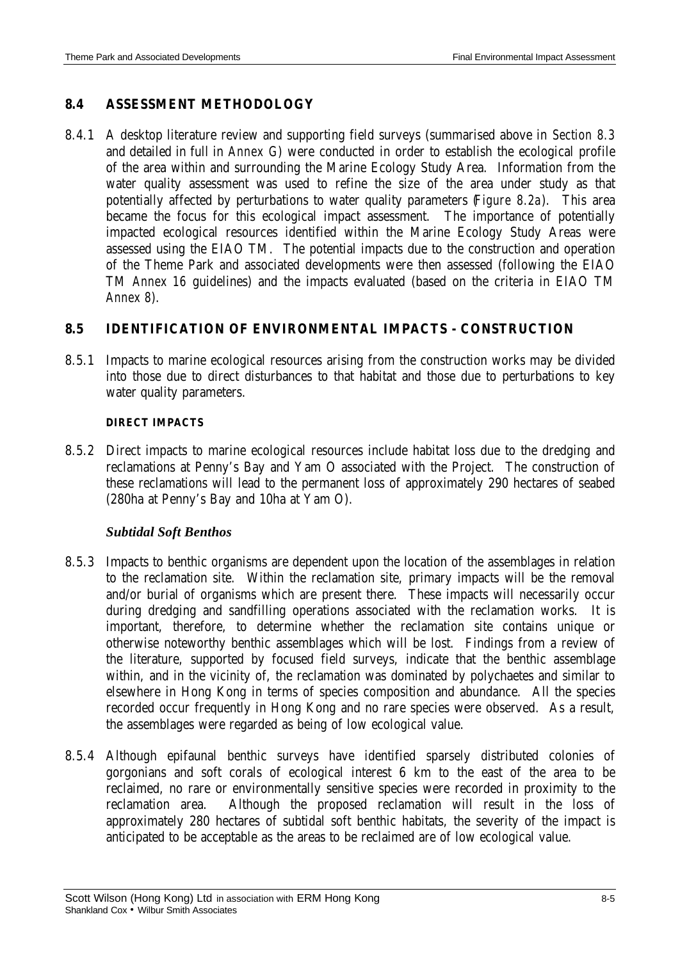## **8.4 ASSESSMENT METHODOLOGY**

8.4.1 A desktop literature review and supporting field surveys (summarised above in *Section 8.3* and detailed in full in *Annex G*) were conducted in order to establish the ecological profile of the area within and surrounding the Marine Ecology Study Area. Information from the water quality assessment was used to refine the size of the area under study as that potentially affected by perturbations to water quality parameters (*Figure 8.2a*). This area became the focus for this ecological impact assessment. The importance of potentially impacted ecological resources identified within the Marine Ecology Study Areas were assessed using the EIAO TM. The potential impacts due to the construction and operation of the Theme Park and associated developments were then assessed (following the EIAO TM *Annex 16* guidelines) and the impacts evaluated (based on the criteria in EIAO TM *Annex 8*).

### **8.5 IDENTIFICATION OF ENVIRONMENTAL IMPACTS - CONSTRUCTION**

8.5.1 Impacts to marine ecological resources arising from the construction works may be divided into those due to direct disturbances to that habitat and those due to perturbations to key water quality parameters.

#### **DIRECT IMPACTS**

8.5.2 Direct impacts to marine ecological resources include habitat loss due to the dredging and reclamations at Penny's Bay and Yam O associated with the Project. The construction of these reclamations will lead to the permanent loss of approximately 290 hectares of seabed (280ha at Penny's Bay and 10ha at Yam O).

### *Subtidal Soft Benthos*

- 8.5.3 Impacts to benthic organisms are dependent upon the location of the assemblages in relation to the reclamation site. Within the reclamation site, primary impacts will be the removal and/or burial of organisms which are present there. These impacts will necessarily occur during dredging and sandfilling operations associated with the reclamation works. It is important, therefore, to determine whether the reclamation site contains unique or otherwise noteworthy benthic assemblages which will be lost. Findings from a review of the literature, supported by focused field surveys, indicate that the benthic assemblage within, and in the vicinity of, the reclamation was dominated by polychaetes and similar to elsewhere in Hong Kong in terms of species composition and abundance. All the species recorded occur frequently in Hong Kong and no rare species were observed. As a result, the assemblages were regarded as being of low ecological value.
- 8.5.4 Although epifaunal benthic surveys have identified sparsely distributed colonies of gorgonians and soft corals of ecological interest 6 km to the east of the area to be reclaimed, no rare or environmentally sensitive species were recorded in proximity to the reclamation area. Although the proposed reclamation will result in the loss of approximately 280 hectares of subtidal soft benthic habitats, the severity of the impact is anticipated to be acceptable as the areas to be reclaimed are of low ecological value.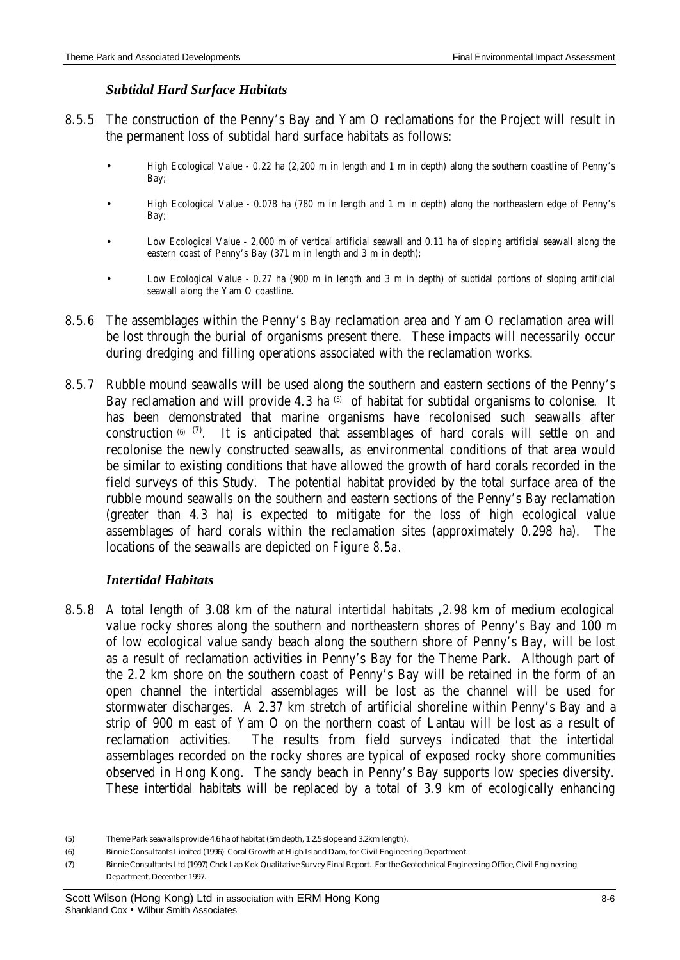### *Subtidal Hard Surface Habitats*

- 8.5.5 The construction of the Penny's Bay and Yam O reclamations for the Project will result in the permanent loss of subtidal hard surface habitats as follows:
	- High Ecological Value 0.22 ha (2,200 m in length and 1 m in depth) along the southern coastline of Penny's Bay;
	- High Ecological Value 0.078 ha (780 m in length and 1 m in depth) along the northeastern edge of Penny's Bay;
	- Low Ecological Value 2,000 m of vertical artificial seawall and 0.11 ha of sloping artificial seawall along the eastern coast of Penny's Bay (371 m in length and 3 m in depth);
	- Low Ecological Value 0.27 ha (900 m in length and 3 m in depth) of subtidal portions of sloping artificial seawall along the Yam O coastline.
- 8.5.6 The assemblages within the Penny's Bay reclamation area and Yam O reclamation area will be lost through the burial of organisms present there. These impacts will necessarily occur during dredging and filling operations associated with the reclamation works.
- 8.5.7 Rubble mound seawalls will be used along the southern and eastern sections of the Penny's Bay reclamation and will provide 4.3 ha <sup>(5)</sup> of habitat for subtidal organisms to colonise. It has been demonstrated that marine organisms have recolonised such seawalls after construction  $(6)$   $(7)$ . It is anticipated that assemblages of hard corals will settle on and recolonise the newly constructed seawalls, as environmental conditions of that area would be similar to existing conditions that have allowed the growth of hard corals recorded in the field surveys of this Study. The potential habitat provided by the total surface area of the rubble mound seawalls on the southern and eastern sections of the Penny's Bay reclamation (greater than 4.3 ha) is expected to mitigate for the loss of high ecological value assemblages of hard corals within the reclamation sites (approximately 0.298 ha). The locations of the seawalls are depicted on *Figure 8.5a*.

### *Intertidal Habitats*

8.5.8 A total length of 3.08 km of the natural intertidal habitats ,2.98 km of medium ecological value rocky shores along the southern and northeastern shores of Penny's Bay and 100 m of low ecological value sandy beach along the southern shore of Penny's Bay, will be lost as a result of reclamation activities in Penny's Bay for the Theme Park. Although part of the 2.2 km shore on the southern coast of Penny's Bay will be retained in the form of an open channel the intertidal assemblages will be lost as the channel will be used for stormwater discharges. A 2.37 km stretch of artificial shoreline within Penny's Bay and a strip of 900 m east of Yam O on the northern coast of Lantau will be lost as a result of reclamation activities. The results from field surveys indicated that the intertidal assemblages recorded on the rocky shores are typical of exposed rocky shore communities observed in Hong Kong. The sandy beach in Penny's Bay supports low species diversity. These intertidal habitats will be replaced by a total of 3.9 km of ecologically enhancing

<sup>(5)</sup> Theme Park seawalls provide 4.6 ha of habitat (5m depth, 1:2.5 slope and 3.2km length).

<sup>(6)</sup> Binnie Consultants Limited (1996) Coral Growth at High Island Dam, for Civil Engineering Department.

<sup>(7)</sup> Binnie Consultants Ltd (1997) Chek Lap Kok Qualitative Survey Final Report. For the Geotechnical Engineering Office, Civil Engineering Department, December 1997.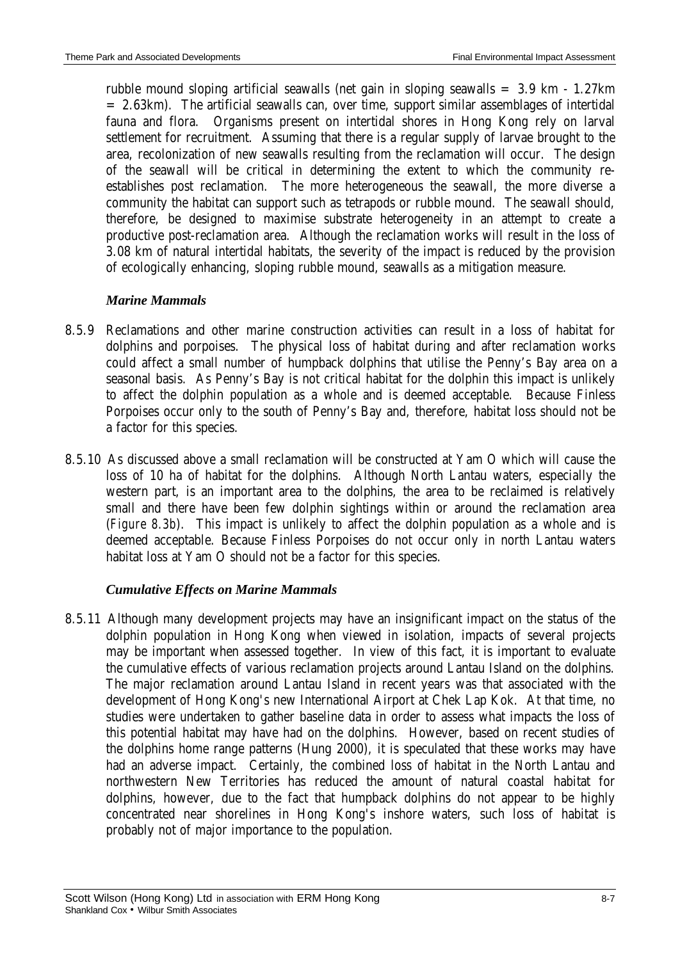rubble mound sloping artificial seawalls (net gain in sloping seawalls = 3.9 km - 1.27km = 2.63km). The artificial seawalls can, over time, support similar assemblages of intertidal fauna and flora. Organisms present on intertidal shores in Hong Kong rely on larval settlement for recruitment. Assuming that there is a regular supply of larvae brought to the area, recolonization of new seawalls resulting from the reclamation will occur. The design of the seawall will be critical in determining the extent to which the community reestablishes post reclamation. The more heterogeneous the seawall, the more diverse a community the habitat can support such as tetrapods or rubble mound. The seawall should, therefore, be designed to maximise substrate heterogeneity in an attempt to create a productive post-reclamation area. Although the reclamation works will result in the loss of 3.08 km of natural intertidal habitats, the severity of the impact is reduced by the provision of ecologically enhancing, sloping rubble mound, seawalls as a mitigation measure.

## *Marine Mammals*

- 8.5.9 Reclamations and other marine construction activities can result in a loss of habitat for dolphins and porpoises. The physical loss of habitat during and after reclamation works could affect a small number of humpback dolphins that utilise the Penny's Bay area on a seasonal basis. As Penny's Bay is not critical habitat for the dolphin this impact is unlikely to affect the dolphin population as a whole and is deemed acceptable. Because Finless Porpoises occur only to the south of Penny's Bay and, therefore, habitat loss should not be a factor for this species.
- 8.5.10 As discussed above a small reclamation will be constructed at Yam O which will cause the loss of 10 ha of habitat for the dolphins. Although North Lantau waters, especially the western part, is an important area to the dolphins, the area to be reclaimed is relatively small and there have been few dolphin sightings within or around the reclamation area (*Figure 8.3b*). This impact is unlikely to affect the dolphin population as a whole and is deemed acceptable. Because Finless Porpoises do not occur only in north Lantau waters habitat loss at Yam O should not be a factor for this species.

### *Cumulative Effects on Marine Mammals*

8.5.11 Although many development projects may have an insignificant impact on the status of the dolphin population in Hong Kong when viewed in isolation, impacts of several projects may be important when assessed together. In view of this fact, it is important to evaluate the cumulative effects of various reclamation projects around Lantau Island on the dolphins. The major reclamation around Lantau Island in recent years was that associated with the development of Hong Kong's new International Airport at Chek Lap Kok. At that time, no studies were undertaken to gather baseline data in order to assess what impacts the loss of this potential habitat may have had on the dolphins. However, based on recent studies of the dolphins home range patterns (Hung 2000), it is speculated that these works may have had an adverse impact. Certainly, the combined loss of habitat in the North Lantau and northwestern New Territories has reduced the amount of natural coastal habitat for dolphins, however, due to the fact that humpback dolphins do not appear to be highly concentrated near shorelines in Hong Kong's inshore waters, such loss of habitat is probably not of major importance to the population.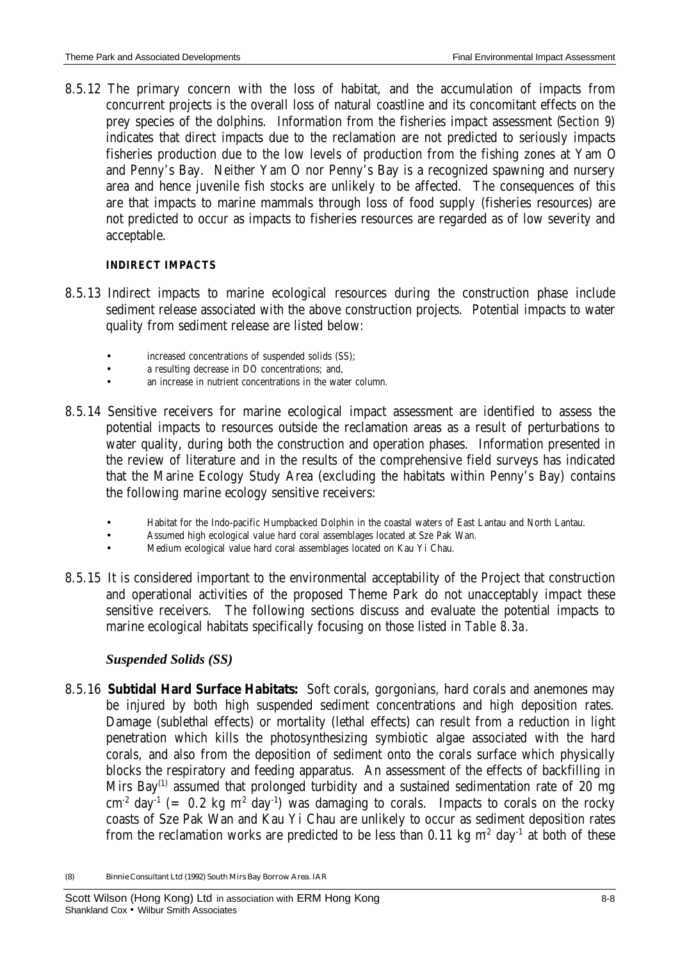8.5.12 The primary concern with the loss of habitat, and the accumulation of impacts from concurrent projects is the overall loss of natural coastline and its concomitant effects on the prey species of the dolphins. Information from the fisheries impact assessment (*Section 9*) indicates that direct impacts due to the reclamation are not predicted to seriously impacts fisheries production due to the low levels of production from the fishing zones at Yam O and Penny's Bay. Neither Yam O nor Penny's Bay is a recognized spawning and nursery area and hence juvenile fish stocks are unlikely to be affected. The consequences of this are that impacts to marine mammals through loss of food supply (fisheries resources) are not predicted to occur as impacts to fisheries resources are regarded as of low severity and acceptable.

#### **INDIRECT IMPACTS**

- 8.5.13 Indirect impacts to marine ecological resources during the construction phase include sediment release associated with the above construction projects. Potential impacts to water quality from sediment release are listed below:
	- increased concentrations of suspended solids (SS);
	- a resulting decrease in DO concentrations; and,
	- an increase in nutrient concentrations in the water column.
- 8.5.14 Sensitive receivers for marine ecological impact assessment are identified to assess the potential impacts to resources outside the reclamation areas as a result of perturbations to water quality, during both the construction and operation phases. Information presented in the review of literature and in the results of the comprehensive field surveys has indicated that the Marine Ecology Study Area (excluding the habitats within Penny's Bay) contains the following marine ecology sensitive receivers:
	- Habitat for the Indo-pacific Humpbacked Dolphin in the coastal waters of East Lantau and North Lantau.
	- Assumed high ecological value hard coral assemblages located at Sze Pak Wan.
	- Medium ecological value hard coral assemblages located on Kau Yi Chau.
- 8.5.15 It is considered important to the environmental acceptability of the Project that construction and operational activities of the proposed Theme Park do not unacceptably impact these sensitive receivers. The following sections discuss and evaluate the potential impacts to marine ecological habitats specifically focusing on those listed in *Table 8.3a.*

### *Suspended Solids (SS)*

8.5.16 **Subtidal Hard Surface Habitats:** Soft corals, gorgonians, hard corals and anemones may be injured by both high suspended sediment concentrations and high deposition rates. Damage (sublethal effects) or mortality (lethal effects) can result from a reduction in light penetration which kills the photosynthesizing symbiotic algae associated with the hard corals, and also from the deposition of sediment onto the corals surface which physically blocks the respiratory and feeding apparatus. An assessment of the effects of backfilling in Mirs Bay<sup>(1)</sup> assumed that prolonged turbidity and a sustained sedimentation rate of 20 mg  $\text{cm}^2$  day<sup>-1</sup> (= 0.2 kg m<sup>2</sup> day<sup>-1</sup>) was damaging to corals. Impacts to corals on the rocky coasts of Sze Pak Wan and Kau Yi Chau are unlikely to occur as sediment deposition rates from the reclamation works are predicted to be less than 0.11 kg  $m^2$  day<sup>-1</sup> at both of these

<sup>(8)</sup> Binnie Consultant Ltd (1992) South Mirs Bay Borrow Area. IAR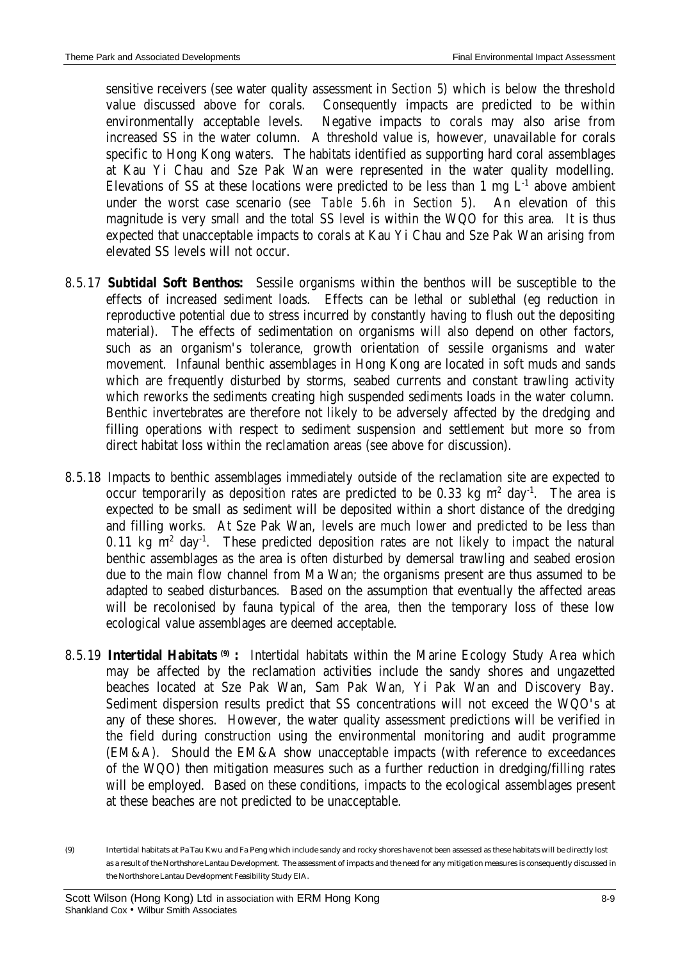sensitive receivers (see water quality assessment in *Section 5*) which is below the threshold value discussed above for corals. Consequently impacts are predicted to be within environmentally acceptable levels. Negative impacts to corals may also arise from increased SS in the water column. A threshold value is, however, unavailable for corals specific to Hong Kong waters. The habitats identified as supporting hard coral assemblages at Kau Yi Chau and Sze Pak Wan were represented in the water quality modelling. Elevations of SS at these locations were predicted to be less than 1 mg  $L<sup>-1</sup>$  above ambient under the worst case scenario (see *Table 5.6h* in *Section 5*). An elevation of this magnitude is very small and the total SS level is within the WQO for this area. It is thus expected that unacceptable impacts to corals at Kau Yi Chau and Sze Pak Wan arising from elevated SS levels will not occur.

- 8.5.17 **Subtidal Soft Benthos:** Sessile organisms within the benthos will be susceptible to the effects of increased sediment loads. Effects can be lethal or sublethal (eg reduction in reproductive potential due to stress incurred by constantly having to flush out the depositing material). The effects of sedimentation on organisms will also depend on other factors, such as an organism's tolerance, growth orientation of sessile organisms and water movement. Infaunal benthic assemblages in Hong Kong are located in soft muds and sands which are frequently disturbed by storms, seabed currents and constant trawling activity which reworks the sediments creating high suspended sediments loads in the water column. Benthic invertebrates are therefore not likely to be adversely affected by the dredging and filling operations with respect to sediment suspension and settlement but more so from direct habitat loss within the reclamation areas (see above for discussion).
- 8.5.18 Impacts to benthic assemblages immediately outside of the reclamation site are expected to occur temporarily as deposition rates are predicted to be 0.33 kg  $m^2$  day<sup>-1</sup>. The area is expected to be small as sediment will be deposited within a short distance of the dredging and filling works. At Sze Pak Wan, levels are much lower and predicted to be less than 0.11 kg  $m^2$  day<sup>-1</sup>. These predicted deposition rates are not likely to impact the natural benthic assemblages as the area is often disturbed by demersal trawling and seabed erosion due to the main flow channel from Ma Wan; the organisms present are thus assumed to be adapted to seabed disturbances. Based on the assumption that eventually the affected areas will be recolonised by fauna typical of the area, then the temporary loss of these low ecological value assemblages are deemed acceptable.
- 8.5.19 Intertidal Habitats<sup>(9)</sup> : Intertidal habitats within the Marine Ecology Study Area which may be affected by the reclamation activities include the sandy shores and ungazetted beaches located at Sze Pak Wan, Sam Pak Wan, Yi Pak Wan and Discovery Bay. Sediment dispersion results predict that SS concentrations will not exceed the WQO's at any of these shores. However, the water quality assessment predictions will be verified in the field during construction using the environmental monitoring and audit programme (EM&A). Should the EM&A show unacceptable impacts (with reference to exceedances of the WQO) then mitigation measures such as a further reduction in dredging/filling rates will be employed. Based on these conditions, impacts to the ecological assemblages present at these beaches are not predicted to be unacceptable.

<sup>(9)</sup> Intertidal habitats at Pa Tau Kwu and Fa Peng which include sandy and rocky shores have not been assessed as these habitats will be directly lost as a result of the Northshore Lantau Development. The assessment of impacts and the need for any mitigation measures is consequently discussed in the Northshore Lantau Development Feasibility Study EIA.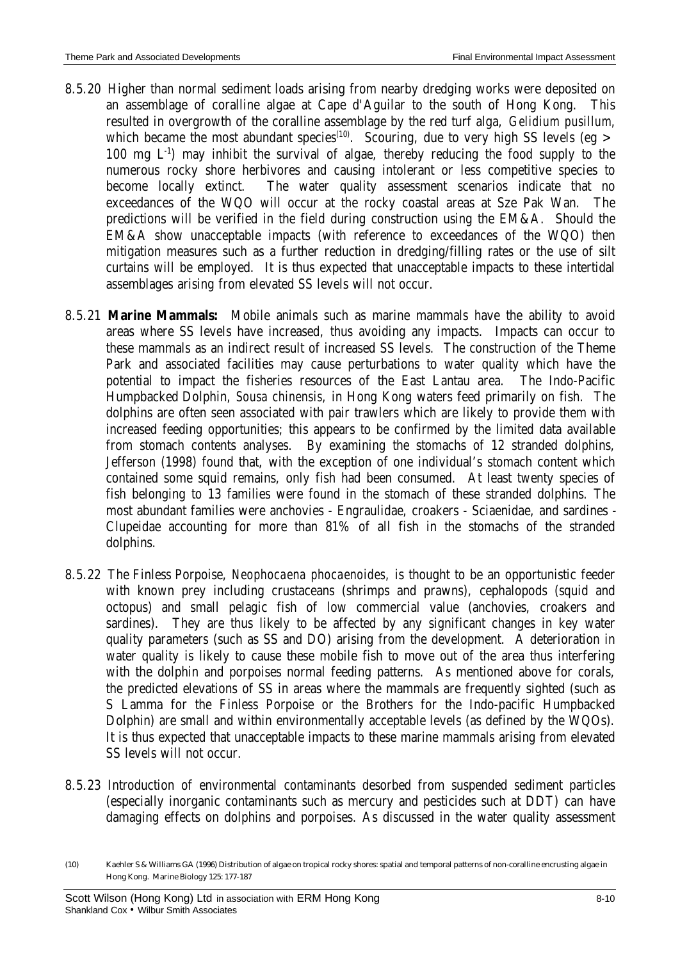- 8.5.20 Higher than normal sediment loads arising from nearby dredging works were deposited on an assemblage of coralline algae at Cape d'Aguilar to the south of Hong Kong. This resulted in overgrowth of the coralline assemblage by the red turf alga, *Gelidium pusillum,* which became the most abundant species<sup>(10)</sup>. Scouring, due to very high SS levels (eg > 100 mg  $L^{-1}$ ) may inhibit the survival of algae, thereby reducing the food supply to the numerous rocky shore herbivores and causing intolerant or less competitive species to become locally extinct. The water quality assessment scenarios indicate that no exceedances of the WQO will occur at the rocky coastal areas at Sze Pak Wan. The predictions will be verified in the field during construction using the EM&A. Should the EM&A show unacceptable impacts (with reference to exceedances of the WQO) then mitigation measures such as a further reduction in dredging/filling rates or the use of silt curtains will be employed. It is thus expected that unacceptable impacts to these intertidal assemblages arising from elevated SS levels will not occur.
- 8.5.21 **Marine Mammals:** Mobile animals such as marine mammals have the ability to avoid areas where SS levels have increased, thus avoiding any impacts. Impacts can occur to these mammals as an indirect result of increased SS levels. The construction of the Theme Park and associated facilities may cause perturbations to water quality which have the potential to impact the fisheries resources of the East Lantau area. The Indo-Pacific Humpbacked Dolphin, *Sousa chinensis,* in Hong Kong waters feed primarily on fish. The dolphins are often seen associated with pair trawlers which are likely to provide them with increased feeding opportunities; this appears to be confirmed by the limited data available from stomach contents analyses. By examining the stomachs of 12 stranded dolphins, Jefferson (1998) found that, with the exception of one individual's stomach content which contained some squid remains, only fish had been consumed. At least twenty species of fish belonging to 13 families were found in the stomach of these stranded dolphins. The most abundant families were anchovies - Engraulidae, croakers - Sciaenidae, and sardines - Clupeidae accounting for more than 81% of all fish in the stomachs of the stranded dolphins.
- 8.5.22 The Finless Porpoise, *Neophocaena phocaenoides,* is thought to be an opportunistic feeder with known prey including crustaceans (shrimps and prawns), cephalopods (squid and octopus) and small pelagic fish of low commercial value (anchovies, croakers and sardines). They are thus likely to be affected by any significant changes in key water quality parameters (such as SS and DO) arising from the development. A deterioration in water quality is likely to cause these mobile fish to move out of the area thus interfering with the dolphin and porpoises normal feeding patterns. As mentioned above for corals, the predicted elevations of SS in areas where the mammals are frequently sighted (such as S Lamma for the Finless Porpoise or the Brothers for the Indo-pacific Humpbacked Dolphin) are small and within environmentally acceptable levels (as defined by the WQOs). It is thus expected that unacceptable impacts to these marine mammals arising from elevated SS levels will not occur.
- 8.5.23 Introduction of environmental contaminants desorbed from suspended sediment particles (especially inorganic contaminants such as mercury and pesticides such at DDT) can have damaging effects on dolphins and porpoises. As discussed in the water quality assessment

<sup>(10)</sup> Kaehler S & Williams GA (1996) Distribution of algae on tropical rocky shores: spatial and temporal patterns of non-coralline encrusting algae in Hong Kong. Marine Biology 125: 177-187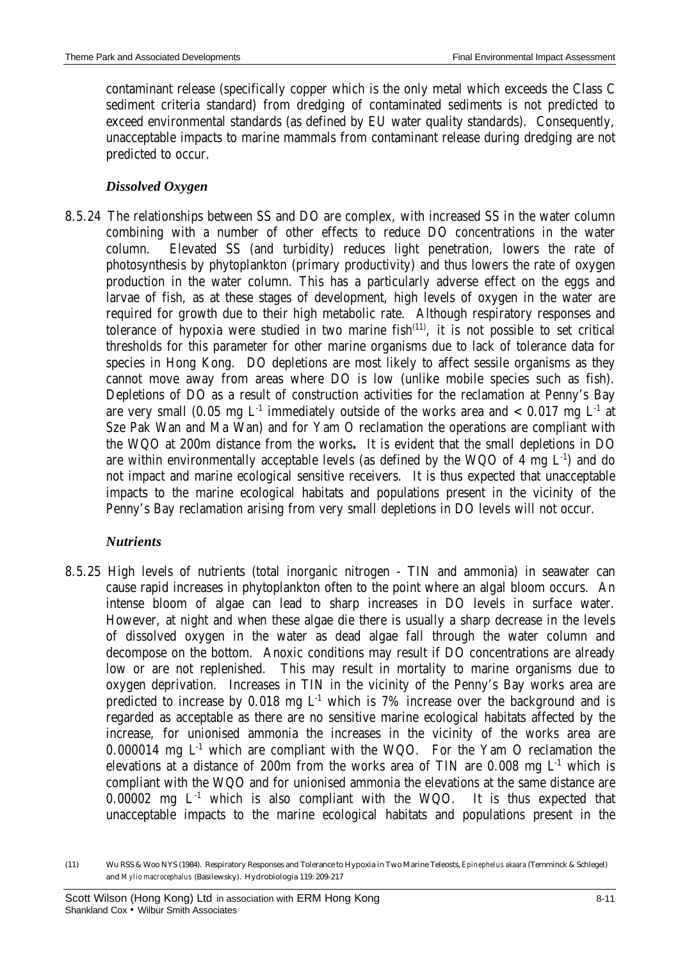contaminant release (specifically copper which is the only metal which exceeds the Class C sediment criteria standard) from dredging of contaminated sediments is not predicted to exceed environmental standards (as defined by EU water quality standards). Consequently, unacceptable impacts to marine mammals from contaminant release during dredging are not predicted to occur.

## *Dissolved Oxygen*

8.5.24 The relationships between SS and DO are complex, with increased SS in the water column combining with a number of other effects to reduce DO concentrations in the water column. Elevated SS (and turbidity) reduces light penetration, lowers the rate of photosynthesis by phytoplankton (primary productivity) and thus lowers the rate of oxygen production in the water column. This has a particularly adverse effect on the eggs and larvae of fish, as at these stages of development, high levels of oxygen in the water are required for growth due to their high metabolic rate. Although respiratory responses and tolerance of hypoxia were studied in two marine fish $(11)$ , it is not possible to set critical thresholds for this parameter for other marine organisms due to lack of tolerance data for species in Hong Kong. DO depletions are most likely to affect sessile organisms as they cannot move away from areas where DO is low (unlike mobile species such as fish). Depletions of DO as a result of construction activities for the reclamation at Penny's Bay are very small (0.05 mg  $L^{-1}$  immediately outside of the works area and  $< 0.017$  mg  $L^{-1}$  at Sze Pak Wan and Ma Wan) and for Yam O reclamation the operations are compliant with the WQO at 200m distance from the works**.** It is evident that the small depletions in DO are within environmentally acceptable levels (as defined by the WQO of 4 mg  $L<sup>-1</sup>$ ) and do not impact and marine ecological sensitive receivers. It is thus expected that unacceptable impacts to the marine ecological habitats and populations present in the vicinity of the Penny's Bay reclamation arising from very small depletions in DO levels will not occur.

## *Nutrients*

8.5.25 High levels of nutrients (total inorganic nitrogen - TIN and ammonia) in seawater can cause rapid increases in phytoplankton often to the point where an algal bloom occurs. An intense bloom of algae can lead to sharp increases in DO levels in surface water. However, at night and when these algae die there is usually a sharp decrease in the levels of dissolved oxygen in the water as dead algae fall through the water column and decompose on the bottom. Anoxic conditions may result if DO concentrations are already low or are not replenished. This may result in mortality to marine organisms due to oxygen deprivation. Increases in TIN in the vicinity of the Penny's Bay works area are predicted to increase by 0.018 mg  $L^1$  which is 7% increase over the background and is regarded as acceptable as there are no sensitive marine ecological habitats affected by the increase, for unionised ammonia the increases in the vicinity of the works area are 0.000014 mg  $L<sup>1</sup>$  which are compliant with the WQO. For the Yam O reclamation the elevations at a distance of 200m from the works area of TIN are  $0.008$  mg  $L<sup>1</sup>$  which is compliant with the WQO and for unionised ammonia the elevations at the same distance are 0.00002 mg  $L^{-1}$  which is also compliant with the WQO. It is thus expected that unacceptable impacts to the marine ecological habitats and populations present in the

<sup>(11)</sup> Wu RSS & Woo NYS (1984). Respiratory Responses and Tolerance to Hypoxia in Two Marine Teleosts, *Epinephelus akaara* (Temminck & Schlegel) and *Mylio macrocephalus* (Basilewsky). Hydrobiologia 119: 209-217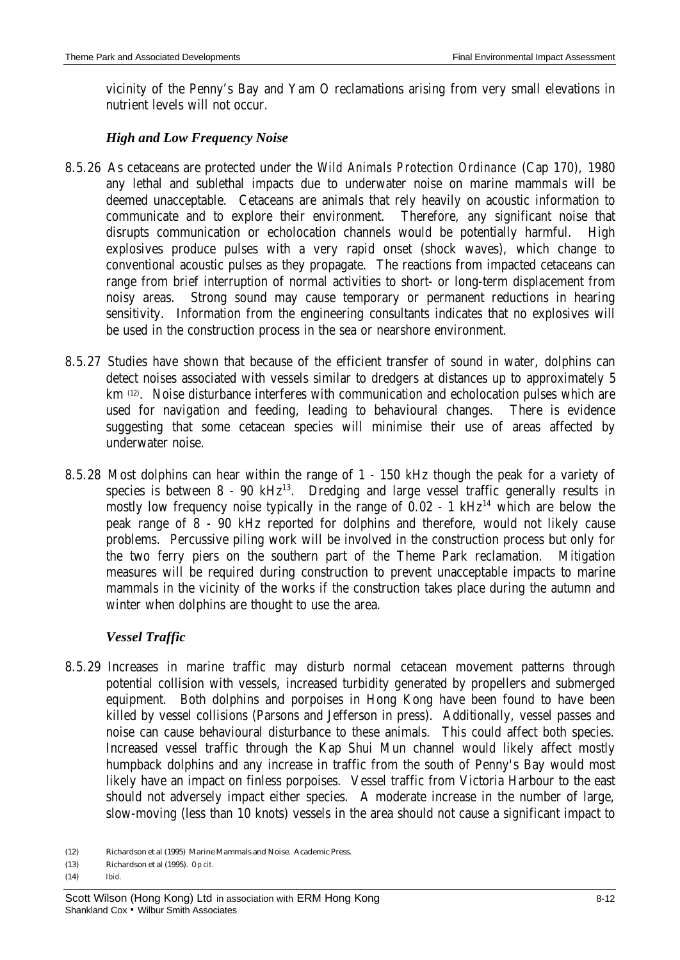vicinity of the Penny's Bay and Yam O reclamations arising from very small elevations in nutrient levels will not occur.

### *High and Low Frequency Noise*

- 8.5.26 As cetaceans are protected under the *Wild Animals Protection Ordinance* (Cap 170), 1980 any lethal and sublethal impacts due to underwater noise on marine mammals will be deemed unacceptable. Cetaceans are animals that rely heavily on acoustic information to communicate and to explore their environment. Therefore, any significant noise that disrupts communication or echolocation channels would be potentially harmful. High explosives produce pulses with a very rapid onset (shock waves), which change to conventional acoustic pulses as they propagate. The reactions from impacted cetaceans can range from brief interruption of normal activities to short- or long-term displacement from noisy areas. Strong sound may cause temporary or permanent reductions in hearing sensitivity. Information from the engineering consultants indicates that no explosives will be used in the construction process in the sea or nearshore environment.
- 8.5.27 Studies have shown that because of the efficient transfer of sound in water, dolphins can detect noises associated with vessels similar to dredgers at distances up to approximately 5 km<sup>(12)</sup>. Noise disturbance interferes with communication and echolocation pulses which are used for navigation and feeding, leading to behavioural changes. There is evidence suggesting that some cetacean species will minimise their use of areas affected by underwater noise.
- 8.5.28 Most dolphins can hear within the range of 1 150 kHz though the peak for a variety of species is between  $8 - 90$  kHz<sup>13</sup>. Dredging and large vessel traffic generally results in mostly low frequency noise typically in the range of  $0.02 - 1$  kHz<sup>14</sup> which are below the peak range of 8 - 90 kHz reported for dolphins and therefore, would not likely cause problems. Percussive piling work will be involved in the construction process but only for the two ferry piers on the southern part of the Theme Park reclamation. Mitigation measures will be required during construction to prevent unacceptable impacts to marine mammals in the vicinity of the works if the construction takes place during the autumn and winter when dolphins are thought to use the area.

### *Vessel Traffic*

8.5.29 Increases in marine traffic may disturb normal cetacean movement patterns through potential collision with vessels, increased turbidity generated by propellers and submerged equipment. Both dolphins and porpoises in Hong Kong have been found to have been killed by vessel collisions (Parsons and Jefferson in press). Additionally, vessel passes and noise can cause behavioural disturbance to these animals. This could affect both species. Increased vessel traffic through the Kap Shui Mun channel would likely affect mostly humpback dolphins and any increase in traffic from the south of Penny's Bay would most likely have an impact on finless porpoises. Vessel traffic from Victoria Harbour to the east should not adversely impact either species. A moderate increase in the number of large, slow-moving (less than 10 knots) vessels in the area should not cause a significant impact to

<sup>(12)</sup> Richardson et al (1995) Marine Mammals and Noise. Academic Press.

<sup>(13)</sup> Richardson et al (1995). *Op cit.*

<sup>(14)</sup> *Ibid.*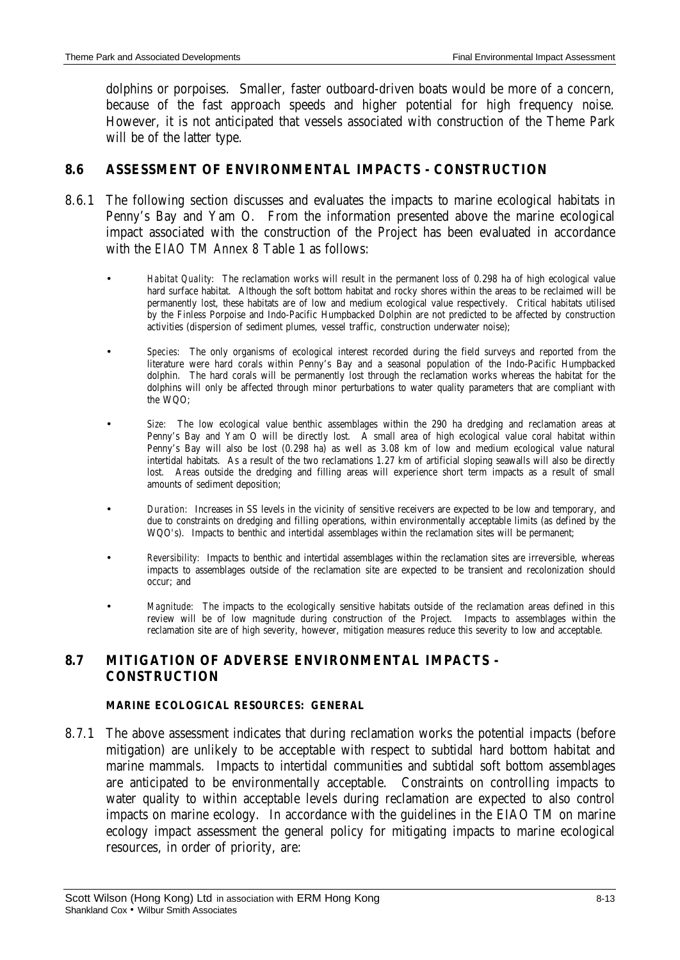dolphins or porpoises. Smaller, faster outboard-driven boats would be more of a concern, because of the fast approach speeds and higher potential for high frequency noise. However, it is not anticipated that vessels associated with construction of the Theme Park will be of the latter type.

## **8.6 ASSESSMENT OF ENVIRONMENTAL IMPACTS - CONSTRUCTION**

- 8.6.1 The following section discusses and evaluates the impacts to marine ecological habitats in Penny's Bay and Yam O. From the information presented above the marine ecological impact associated with the construction of the Project has been evaluated in accordance with the *EIAO TM Annex 8* Table 1 as follows:
	- *Habitat Quality*: The reclamation works will result in the permanent loss of 0.298 ha of high ecological value hard surface habitat. Although the soft bottom habitat and rocky shores within the areas to be reclaimed will be permanently lost, these habitats are of low and medium ecological value respectively. Critical habitats utilised by the Finless Porpoise and Indo-Pacific Humpbacked Dolphin are not predicted to be affected by construction activities (dispersion of sediment plumes, vessel traffic, construction underwater noise);
	- *Species:* The only organisms of ecological interest recorded during the field surveys and reported from the literature were hard corals within Penny's Bay and a seasonal population of the Indo-Pacific Humpbacked dolphin. The hard corals will be permanently lost through the reclamation works whereas the habitat for the dolphins will only be affected through minor perturbations to water quality parameters that are compliant with the WQO;
	- *Size:* The low ecological value benthic assemblages within the 290 ha dredging and reclamation areas at Penny's Bay and Yam O will be directly lost. A small area of high ecological value coral habitat within Penny's Bay will also be lost (0.298 ha) as well as 3.08 km of low and medium ecological value natural intertidal habitats. As a result of the two reclamations 1.27 km of artificial sloping seawalls will also be directly lost. Areas outside the dredging and filling areas will experience short term impacts as a result of small amounts of sediment deposition;
	- *Duration:* Increases in SS levels in the vicinity of sensitive receivers are expected to be low and temporary, and due to constraints on dredging and filling operations, within environmentally acceptable limits (as defined by the WQO's). Impacts to benthic and intertidal assemblages within the reclamation sites will be permanent;
	- *Reversibility:* Impacts to benthic and intertidal assemblages within the reclamation sites are irreversible, whereas impacts to assemblages outside of the reclamation site are expected to be transient and recolonization should occur; and
	- *Magnitude:* The impacts to the ecologically sensitive habitats outside of the reclamation areas defined in this review will be of low magnitude during construction of the Project. Impacts to assemblages within the reclamation site are of high severity, however, mitigation measures reduce this severity to low and acceptable.

## **8.7 MITIGATION OF ADVERSE ENVIRONMENTAL IMPACTS - CONSTRUCTION**

#### **MARINE ECOLOGICAL RESOURCES: GENERAL**

8.7.1 The above assessment indicates that during reclamation works the potential impacts (before mitigation) are unlikely to be acceptable with respect to subtidal hard bottom habitat and marine mammals. Impacts to intertidal communities and subtidal soft bottom assemblages are anticipated to be environmentally acceptable. Constraints on controlling impacts to water quality to within acceptable levels during reclamation are expected to also control impacts on marine ecology. In accordance with the guidelines in the EIAO TM on marine ecology impact assessment the general policy for mitigating impacts to marine ecological resources, in order of priority, are: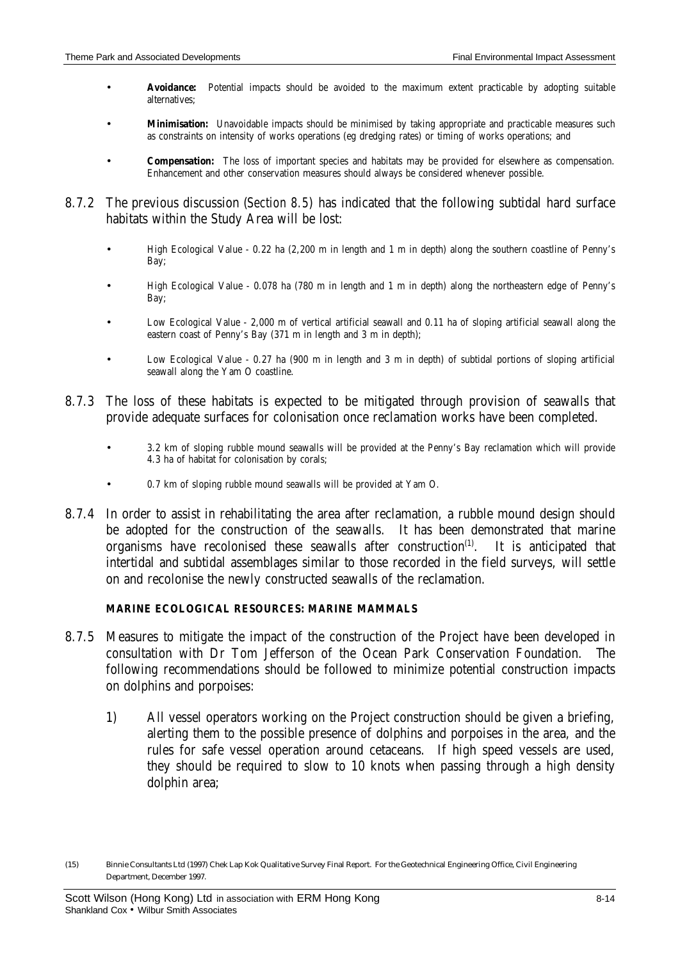- **Avoidance:** Potential impacts should be avoided to the maximum extent practicable by adopting suitable alternatives;
- **Minimisation:** Unavoidable impacts should be minimised by taking appropriate and practicable measures such as constraints on intensity of works operations (eg dredging rates) or timing of works operations; and
- **Compensation:** The loss of important species and habitats may be provided for elsewhere as compensation. Enhancement and other conservation measures should always be considered whenever possible.
- 8.7.2 The previous discussion (*Section 8.5*) has indicated that the following subtidal hard surface habitats within the Study Area will be lost:
	- High Ecological Value 0.22 ha (2,200 m in length and 1 m in depth) along the southern coastline of Penny's Bay;
	- High Ecological Value 0.078 ha (780 m in length and 1 m in depth) along the northeastern edge of Penny's Bay;
	- Low Ecological Value 2,000 m of vertical artificial seawall and 0.11 ha of sloping artificial seawall along the eastern coast of Penny's Bay (371 m in length and 3 m in depth);
	- Low Ecological Value 0.27 ha (900 m in length and 3 m in depth) of subtidal portions of sloping artificial seawall along the Yam O coastline.
- 8.7.3 The loss of these habitats is expected to be mitigated through provision of seawalls that provide adequate surfaces for colonisation once reclamation works have been completed.
	- 3.2 km of sloping rubble mound seawalls will be provided at the Penny's Bay reclamation which will provide 4.3 ha of habitat for colonisation by corals;
	- 0.7 km of sloping rubble mound seawalls will be provided at Yam O.
- 8.7.4 In order to assist in rehabilitating the area after reclamation, a rubble mound design should be adopted for the construction of the seawalls. It has been demonstrated that marine organisms have recolonised these seawalls after construction $<sup>(1)</sup>$ .</sup> . It is anticipated that intertidal and subtidal assemblages similar to those recorded in the field surveys, will settle on and recolonise the newly constructed seawalls of the reclamation.

#### **MARINE ECOLOGICAL RESOURCES: MARINE MAMMALS**

- 8.7.5 Measures to mitigate the impact of the construction of the Project have been developed in consultation with Dr Tom Jefferson of the Ocean Park Conservation Foundation. The following recommendations should be followed to minimize potential construction impacts on dolphins and porpoises:
	- 1) All vessel operators working on the Project construction should be given a briefing, alerting them to the possible presence of dolphins and porpoises in the area, and the rules for safe vessel operation around cetaceans. If high speed vessels are used, they should be required to slow to 10 knots when passing through a high density dolphin area;

<sup>(15)</sup> Binnie Consultants Ltd (1997) Chek Lap Kok Qualitative Survey Final Report. For the Geotechnical Engineering Office, Civil Engineering Department, December 1997.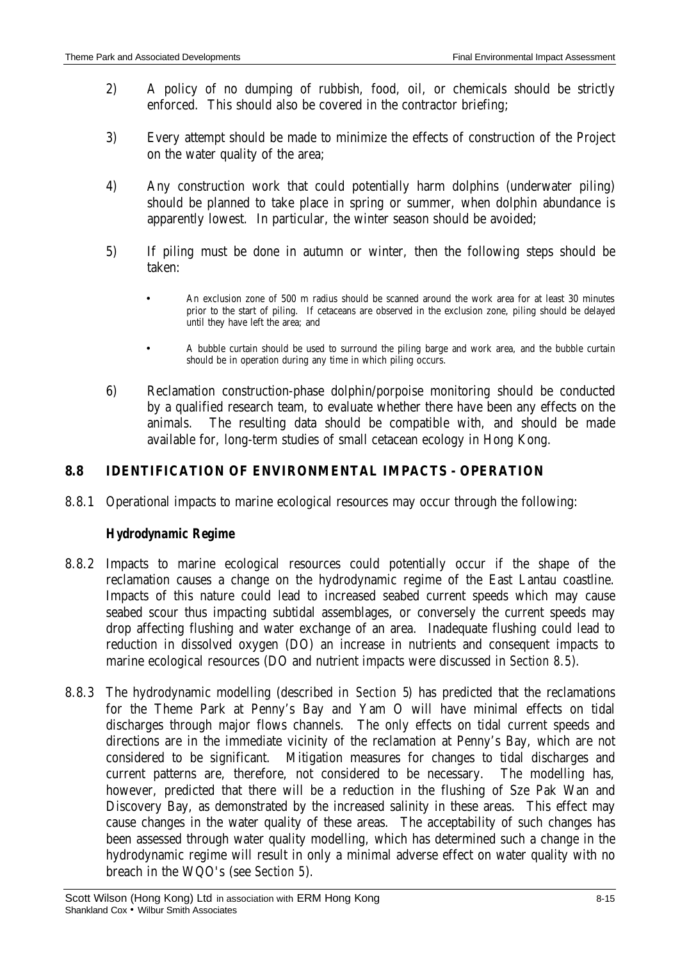- 2) A policy of no dumping of rubbish, food, oil, or chemicals should be strictly enforced. This should also be covered in the contractor briefing;
- 3) Every attempt should be made to minimize the effects of construction of the Project on the water quality of the area;
- 4) Any construction work that could potentially harm dolphins (underwater piling) should be planned to take place in spring or summer, when dolphin abundance is apparently lowest. In particular, the winter season should be avoided;
- 5) If piling must be done in autumn or winter, then the following steps should be taken:
	- An exclusion zone of 500 m radius should be scanned around the work area for at least 30 minutes prior to the start of piling. If cetaceans are observed in the exclusion zone, piling should be delayed until they have left the area; and
	- A bubble curtain should be used to surround the piling barge and work area, and the bubble curtain should be in operation during any time in which piling occurs.
- 6) Reclamation construction-phase dolphin/porpoise monitoring should be conducted by a qualified research team, to evaluate whether there have been any effects on the animals. The resulting data should be compatible with, and should be made available for, long-term studies of small cetacean ecology in Hong Kong.

## **8.8 IDENTIFICATION OF ENVIRONMENTAL IMPACTS - OPERATION**

8.8.1 Operational impacts to marine ecological resources may occur through the following:

## *Hydrodynamic Regime*

- 8.8.2 Impacts to marine ecological resources could potentially occur if the shape of the reclamation causes a change on the hydrodynamic regime of the East Lantau coastline. Impacts of this nature could lead to increased seabed current speeds which may cause seabed scour thus impacting subtidal assemblages, or conversely the current speeds may drop affecting flushing and water exchange of an area. Inadequate flushing could lead to reduction in dissolved oxygen (DO) an increase in nutrients and consequent impacts to marine ecological resources (DO and nutrient impacts were discussed in *Section 8.5*).
- 8.8.3 The hydrodynamic modelling (described in *Section 5*) has predicted that the reclamations for the Theme Park at Penny's Bay and Yam O will have minimal effects on tidal discharges through major flows channels. The only effects on tidal current speeds and directions are in the immediate vicinity of the reclamation at Penny's Bay, which are not considered to be significant. Mitigation measures for changes to tidal discharges and current patterns are, therefore, not considered to be necessary. The modelling has, however, predicted that there will be a reduction in the flushing of Sze Pak Wan and Discovery Bay, as demonstrated by the increased salinity in these areas. This effect may cause changes in the water quality of these areas. The acceptability of such changes has been assessed through water quality modelling, which has determined such a change in the hydrodynamic regime will result in only a minimal adverse effect on water quality with no breach in the WQO's (see *Section 5*).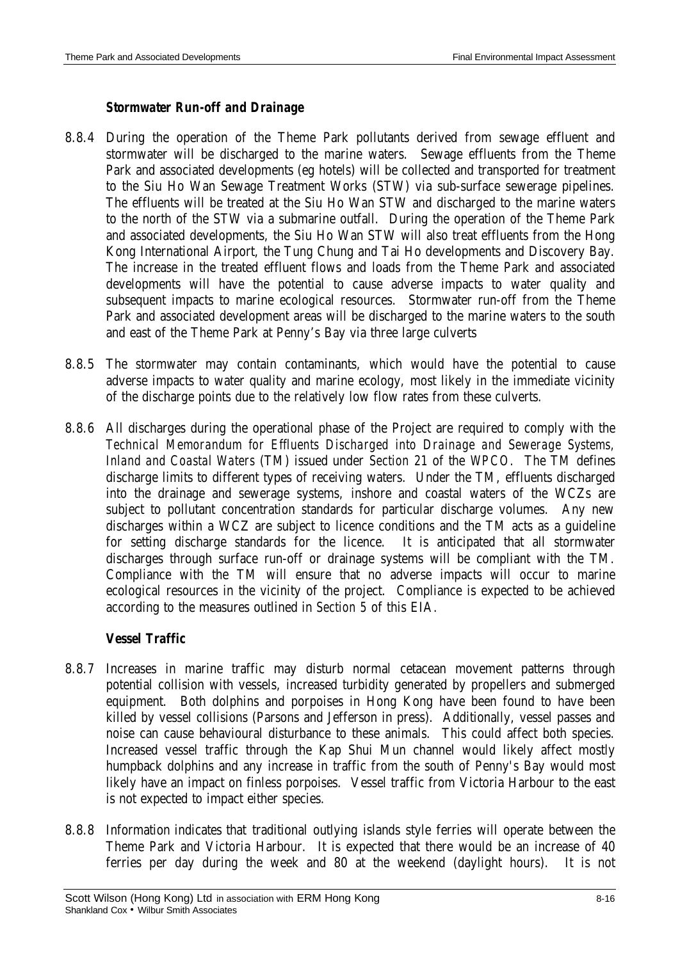#### *Stormwater Run-off and Drainage*

- 8.8.4 During the operation of the Theme Park pollutants derived from sewage effluent and stormwater will be discharged to the marine waters. Sewage effluents from the Theme Park and associated developments (eg hotels) will be collected and transported for treatment to the Siu Ho Wan Sewage Treatment Works (STW) via sub-surface sewerage pipelines. The effluents will be treated at the Siu Ho Wan STW and discharged to the marine waters to the north of the STW via a submarine outfall. During the operation of the Theme Park and associated developments, the Siu Ho Wan STW will also treat effluents from the Hong Kong International Airport, the Tung Chung and Tai Ho developments and Discovery Bay. The increase in the treated effluent flows and loads from the Theme Park and associated developments will have the potential to cause adverse impacts to water quality and subsequent impacts to marine ecological resources. Stormwater run-off from the Theme Park and associated development areas will be discharged to the marine waters to the south and east of the Theme Park at Penny's Bay via three large culverts
- 8.8.5 The stormwater may contain contaminants, which would have the potential to cause adverse impacts to water quality and marine ecology, most likely in the immediate vicinity of the discharge points due to the relatively low flow rates from these culverts.
- 8.8.6 All discharges during the operational phase of the Project are required to comply with the *Technical Memorandum for Effluents Discharged into Drainage and Sewerage Systems, Inland and Coastal Waters* (TM) issued under *Section 21* of the *WPCO*. The TM defines discharge limits to different types of receiving waters. Under the TM, effluents discharged into the drainage and sewerage systems, inshore and coastal waters of the WCZs are subject to pollutant concentration standards for particular discharge volumes. Any new discharges within a WCZ are subject to licence conditions and the TM acts as a guideline for setting discharge standards for the licence. It is anticipated that all stormwater discharges through surface run-off or drainage systems will be compliant with the TM. Compliance with the TM will ensure that no adverse impacts will occur to marine ecological resources in the vicinity of the project. Compliance is expected to be achieved according to the measures outlined in *Section 5* of this EIA.

### *Vessel Traffic*

- 8.8.7 Increases in marine traffic may disturb normal cetacean movement patterns through potential collision with vessels, increased turbidity generated by propellers and submerged equipment. Both dolphins and porpoises in Hong Kong have been found to have been killed by vessel collisions (Parsons and Jefferson in press). Additionally, vessel passes and noise can cause behavioural disturbance to these animals. This could affect both species. Increased vessel traffic through the Kap Shui Mun channel would likely affect mostly humpback dolphins and any increase in traffic from the south of Penny's Bay would most likely have an impact on finless porpoises. Vessel traffic from Victoria Harbour to the east is not expected to impact either species.
- 8.8.8 Information indicates that traditional outlying islands style ferries will operate between the Theme Park and Victoria Harbour. It is expected that there would be an increase of 40 ferries per day during the week and 80 at the weekend (daylight hours). It is not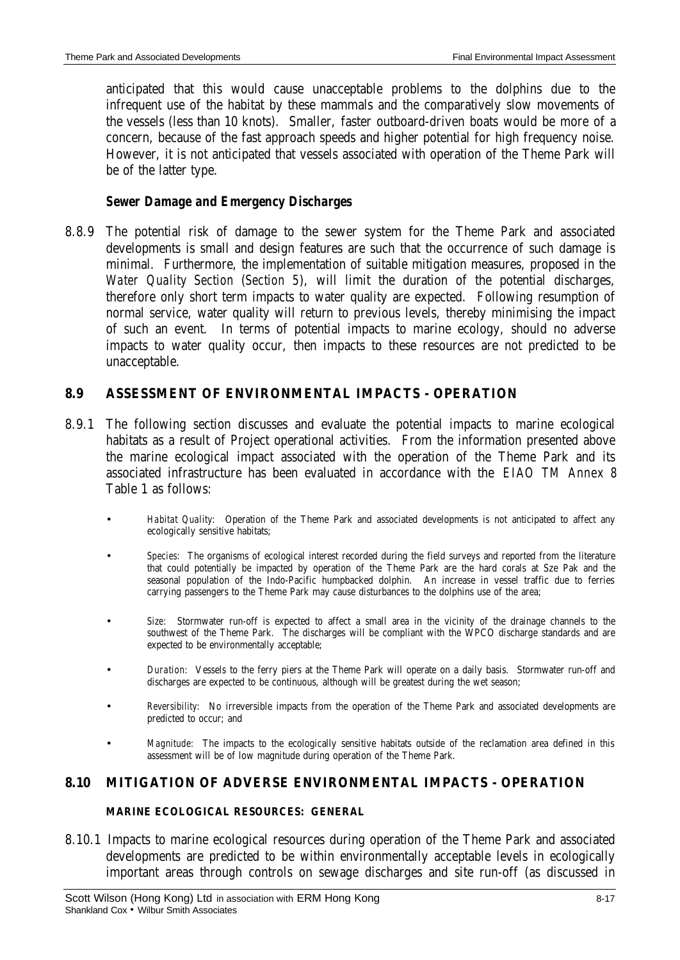anticipated that this would cause unacceptable problems to the dolphins due to the infrequent use of the habitat by these mammals and the comparatively slow movements of the vessels (less than 10 knots). Smaller, faster outboard-driven boats would be more of a concern, because of the fast approach speeds and higher potential for high frequency noise. However, it is not anticipated that vessels associated with operation of the Theme Park will be of the latter type.

### *Sewer Damage and Emergency Discharges*

8.8.9 The potential risk of damage to the sewer system for the Theme Park and associated developments is small and design features are such that the occurrence of such damage is minimal. Furthermore, the implementation of suitable mitigation measures, proposed in the *Water Quality Section* (*Section 5*), will limit the duration of the potential discharges, therefore only short term impacts to water quality are expected. Following resumption of normal service, water quality will return to previous levels, thereby minimising the impact of such an event. In terms of potential impacts to marine ecology, should no adverse impacts to water quality occur, then impacts to these resources are not predicted to be unacceptable.

## **8.9 ASSESSMENT OF ENVIRONMENTAL IMPACTS - OPERATION**

- 8.9.1 The following section discusses and evaluate the potential impacts to marine ecological habitats as a result of Project operational activities. From the information presented above the marine ecological impact associated with the operation of the Theme Park and its associated infrastructure has been evaluated in accordance with the *EIAO TM Annex 8* Table 1 as follows:
	- *Habitat Quality*: Operation of the Theme Park and associated developments is not anticipated to affect any ecologically sensitive habitats;
	- *Species:* The organisms of ecological interest recorded during the field surveys and reported from the literature that could potentially be impacted by operation of the Theme Park are the hard corals at Sze Pak and the seasonal population of the Indo-Pacific humpbacked dolphin. An increase in vessel traffic due to ferries carrying passengers to the Theme Park may cause disturbances to the dolphins use of the area;
	- *Size:* Stormwater run-off is expected to affect a small area in the vicinity of the drainage channels to the southwest of the Theme Park. The discharges will be compliant with the WPCO discharge standards and are expected to be environmentally acceptable;
	- *Duration:* Vessels to the ferry piers at the Theme Park will operate on a daily basis. Stormwater run-off and discharges are expected to be continuous, although will be greatest during the wet season;
	- *Reversibility:* No irreversible impacts from the operation of the Theme Park and associated developments are predicted to occur; and
	- *Magnitude:* The impacts to the ecologically sensitive habitats outside of the reclamation area defined in this assessment will be of low magnitude during operation of the Theme Park.

### **8.10 MITIGATION OF ADVERSE ENVIRONMENTAL IMPACTS - OPERATION**

#### **MARINE ECOLOGICAL RESOURCES: GENERAL**

8.10.1 Impacts to marine ecological resources during operation of the Theme Park and associated developments are predicted to be within environmentally acceptable levels in ecologically important areas through controls on sewage discharges and site run-off (as discussed in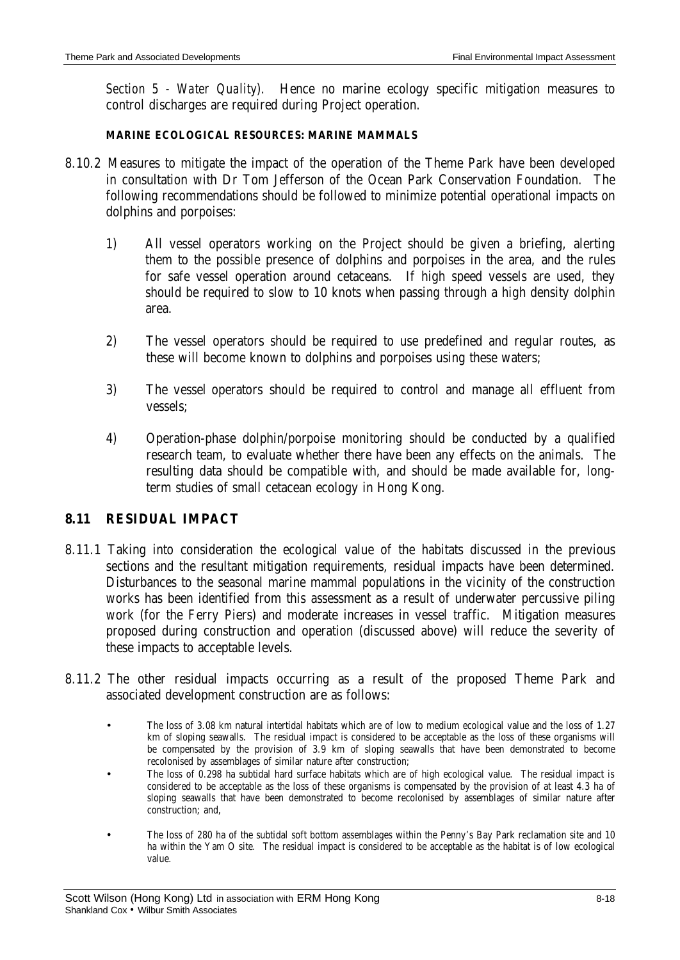*Section 5 - Water Quality*). Hence no marine ecology specific mitigation measures to control discharges are required during Project operation.

#### **MARINE ECOLOGICAL RESOURCES: MARINE MAMMALS**

- 8.10.2 Measures to mitigate the impact of the operation of the Theme Park have been developed in consultation with Dr Tom Jefferson of the Ocean Park Conservation Foundation. The following recommendations should be followed to minimize potential operational impacts on dolphins and porpoises:
	- 1) All vessel operators working on the Project should be given a briefing, alerting them to the possible presence of dolphins and porpoises in the area, and the rules for safe vessel operation around cetaceans. If high speed vessels are used, they should be required to slow to 10 knots when passing through a high density dolphin area.
	- 2) The vessel operators should be required to use predefined and regular routes, as these will become known to dolphins and porpoises using these waters;
	- 3) The vessel operators should be required to control and manage all effluent from vessels;
	- 4) Operation-phase dolphin/porpoise monitoring should be conducted by a qualified research team, to evaluate whether there have been any effects on the animals. The resulting data should be compatible with, and should be made available for, longterm studies of small cetacean ecology in Hong Kong.

### **8.11 RESIDUAL IMPACT**

- 8.11.1 Taking into consideration the ecological value of the habitats discussed in the previous sections and the resultant mitigation requirements, residual impacts have been determined. Disturbances to the seasonal marine mammal populations in the vicinity of the construction works has been identified from this assessment as a result of underwater percussive piling work (for the Ferry Piers) and moderate increases in vessel traffic. Mitigation measures proposed during construction and operation (discussed above) will reduce the severity of these impacts to acceptable levels.
- 8.11.2 The other residual impacts occurring as a result of the proposed Theme Park and associated development construction are as follows:
	- The loss of 3.08 km natural intertidal habitats which are of low to medium ecological value and the loss of 1.27 km of sloping seawalls. The residual impact is considered to be acceptable as the loss of these organisms will be compensated by the provision of 3.9 km of sloping seawalls that have been demonstrated to become recolonised by assemblages of similar nature after construction;
	- The loss of 0.298 ha subtidal hard surface habitats which are of high ecological value. The residual impact is considered to be acceptable as the loss of these organisms is compensated by the provision of at least 4.3 ha of sloping seawalls that have been demonstrated to become recolonised by assemblages of similar nature after construction; and,
	- The loss of 280 ha of the subtidal soft bottom assemblages within the Penny's Bay Park reclamation site and 10 ha within the Yam O site. The residual impact is considered to be acceptable as the habitat is of low ecological value.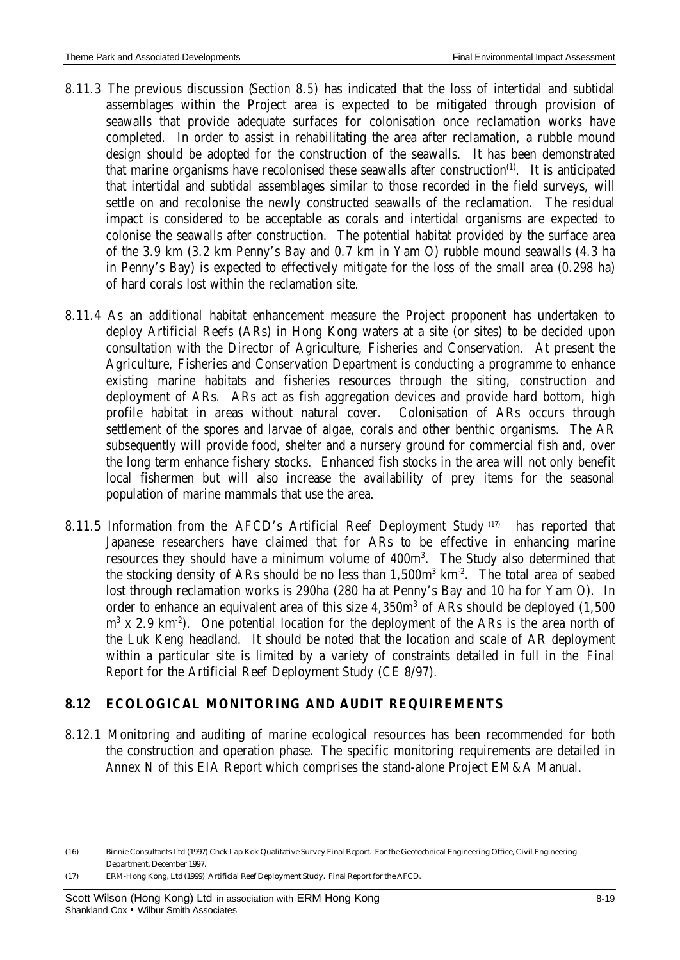- 8.11.3 The previous discussion (*Section 8.5*) has indicated that the loss of intertidal and subtidal assemblages within the Project area is expected to be mitigated through provision of seawalls that provide adequate surfaces for colonisation once reclamation works have completed. In order to assist in rehabilitating the area after reclamation, a rubble mound design should be adopted for the construction of the seawalls. It has been demonstrated that marine organisms have recolonised these seawalls after construction $^{(1)}$ . It is anticipated that intertidal and subtidal assemblages similar to those recorded in the field surveys, will settle on and recolonise the newly constructed seawalls of the reclamation. The residual impact is considered to be acceptable as corals and intertidal organisms are expected to colonise the seawalls after construction. The potential habitat provided by the surface area of the 3.9 km (3.2 km Penny's Bay and 0.7 km in Yam O) rubble mound seawalls (4.3 ha in Penny's Bay) is expected to effectively mitigate for the loss of the small area (0.298 ha) of hard corals lost within the reclamation site.
- 8.11.4 As an additional habitat enhancement measure the Project proponent has undertaken to deploy Artificial Reefs (ARs) in Hong Kong waters at a site (or sites) to be decided upon consultation with the Director of Agriculture, Fisheries and Conservation. At present the Agriculture, Fisheries and Conservation Department is conducting a programme to enhance existing marine habitats and fisheries resources through the siting, construction and deployment of ARs. ARs act as fish aggregation devices and provide hard bottom, high profile habitat in areas without natural cover. Colonisation of ARs occurs through settlement of the spores and larvae of algae, corals and other benthic organisms. The AR subsequently will provide food, shelter and a nursery ground for commercial fish and, over the long term enhance fishery stocks. Enhanced fish stocks in the area will not only benefit local fishermen but will also increase the availability of prey items for the seasonal population of marine mammals that use the area.
- 8.11.5 Information from the AFCD's Artificial Reef Deployment Study (17) has reported that Japanese researchers have claimed that for ARs to be effective in enhancing marine resources they should have a minimum volume of 400m<sup>3</sup>. The Study also determined that the stocking density of ARs should be no less than 1,500m<sup>3</sup> km<sup>-2</sup>. The total area of seabed lost through reclamation works is 290ha (280 ha at Penny's Bay and 10 ha for Yam O). In order to enhance an equivalent area of this size 4,350m<sup>3</sup> of ARs should be deployed (1,500  $\rm m^3$  x 2.9 km<sup>-2</sup>). One potential location for the deployment of the ARs is the area north of the Luk Keng headland. It should be noted that the location and scale of AR deployment within a particular site is limited by a variety of constraints detailed in full in the *Final Report* for the Artificial Reef Deployment Study (CE 8/97).

## **8.12 ECOLOGICAL MONITORING AND AUDIT REQUIREMENTS**

8.12.1 Monitoring and auditing of marine ecological resources has been recommended for both the construction and operation phase. The specific monitoring requirements are detailed in *Annex N* of this EIA Report which comprises the stand-alone Project EM&A Manual.

(17) ERM-Hong Kong, Ltd (1999) Artificial Reef Deployment Study. Final Report for the AFCD.

<sup>(16)</sup> Binnie Consultants Ltd (1997) Chek Lap Kok Qualitative Survey Final Report. For the Geotechnical Engineering Office, Civil Engineering Department, December 1997.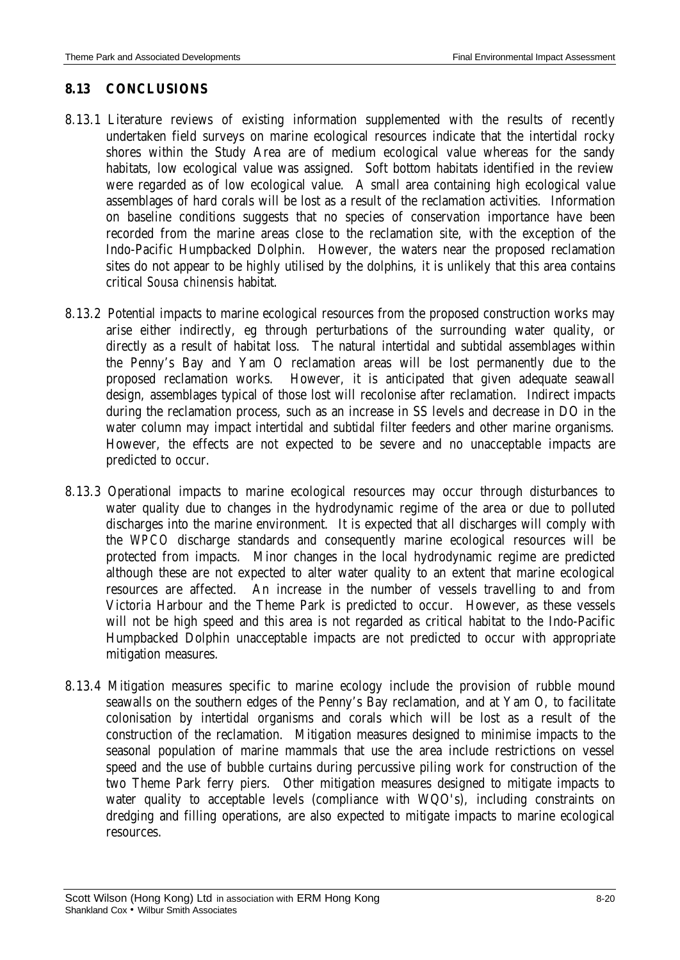## **8.13 CONCLUSIONS**

- 8.13.1 Literature reviews of existing information supplemented with the results of recently undertaken field surveys on marine ecological resources indicate that the intertidal rocky shores within the Study Area are of medium ecological value whereas for the sandy habitats, low ecological value was assigned. Soft bottom habitats identified in the review were regarded as of low ecological value. A small area containing high ecological value assemblages of hard corals will be lost as a result of the reclamation activities. Information on baseline conditions suggests that no species of conservation importance have been recorded from the marine areas close to the reclamation site, with the exception of the Indo-Pacific Humpbacked Dolphin. However, the waters near the proposed reclamation sites do not appear to be highly utilised by the dolphins, it is unlikely that this area contains critical *Sousa chinensis* habitat.
- 8.13.2 Potential impacts to marine ecological resources from the proposed construction works may arise either indirectly, eg through perturbations of the surrounding water quality, or directly as a result of habitat loss. The natural intertidal and subtidal assemblages within the Penny's Bay and Yam O reclamation areas will be lost permanently due to the proposed reclamation works. However, it is anticipated that given adequate seawall design, assemblages typical of those lost will recolonise after reclamation. Indirect impacts during the reclamation process, such as an increase in SS levels and decrease in DO in the water column may impact intertidal and subtidal filter feeders and other marine organisms. However, the effects are not expected to be severe and no unacceptable impacts are predicted to occur.
- 8.13.3 Operational impacts to marine ecological resources may occur through disturbances to water quality due to changes in the hydrodynamic regime of the area or due to polluted discharges into the marine environment. It is expected that all discharges will comply with the *WPCO* discharge standards and consequently marine ecological resources will be protected from impacts. Minor changes in the local hydrodynamic regime are predicted although these are not expected to alter water quality to an extent that marine ecological resources are affected. An increase in the number of vessels travelling to and from Victoria Harbour and the Theme Park is predicted to occur. However, as these vessels will not be high speed and this area is not regarded as critical habitat to the Indo-Pacific Humpbacked Dolphin unacceptable impacts are not predicted to occur with appropriate mitigation measures.
- 8.13.4 Mitigation measures specific to marine ecology include the provision of rubble mound seawalls on the southern edges of the Penny's Bay reclamation, and at Yam O, to facilitate colonisation by intertidal organisms and corals which will be lost as a result of the construction of the reclamation. Mitigation measures designed to minimise impacts to the seasonal population of marine mammals that use the area include restrictions on vessel speed and the use of bubble curtains during percussive piling work for construction of the two Theme Park ferry piers. Other mitigation measures designed to mitigate impacts to water quality to acceptable levels (compliance with WQO's), including constraints on dredging and filling operations, are also expected to mitigate impacts to marine ecological resources.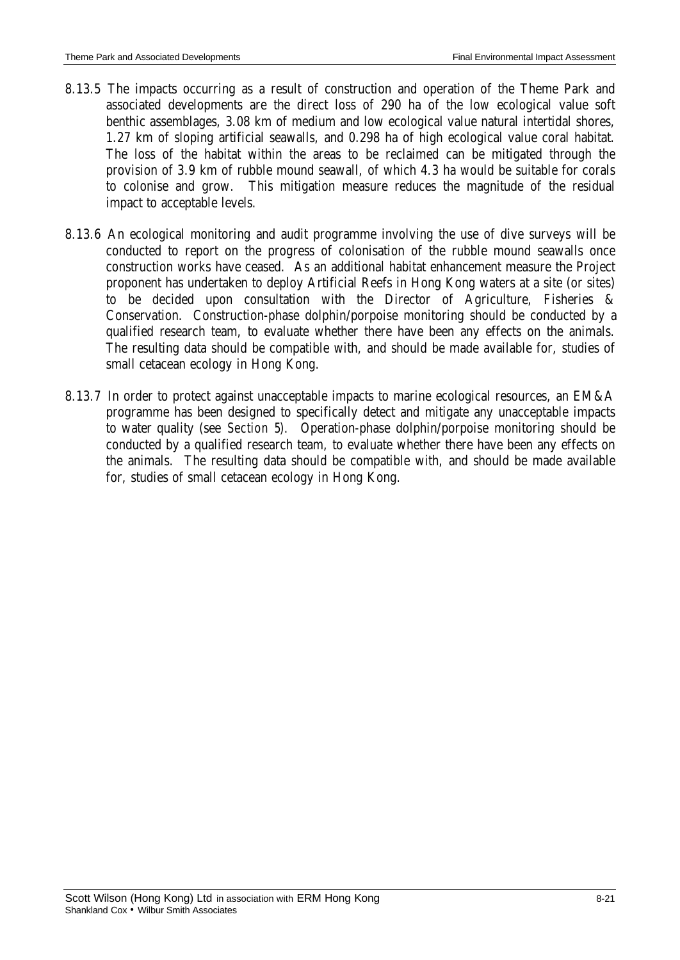- 8.13.5 The impacts occurring as a result of construction and operation of the Theme Park and associated developments are the direct loss of 290 ha of the low ecological value soft benthic assemblages, 3.08 km of medium and low ecological value natural intertidal shores, 1.27 km of sloping artificial seawalls, and 0.298 ha of high ecological value coral habitat. The loss of the habitat within the areas to be reclaimed can be mitigated through the provision of 3.9 km of rubble mound seawall, of which 4.3 ha would be suitable for corals to colonise and grow. This mitigation measure reduces the magnitude of the residual impact to acceptable levels.
- 8.13.6 An ecological monitoring and audit programme involving the use of dive surveys will be conducted to report on the progress of colonisation of the rubble mound seawalls once construction works have ceased. As an additional habitat enhancement measure the Project proponent has undertaken to deploy Artificial Reefs in Hong Kong waters at a site (or sites) to be decided upon consultation with the Director of Agriculture, Fisheries & Conservation. Construction-phase dolphin/porpoise monitoring should be conducted by a qualified research team, to evaluate whether there have been any effects on the animals. The resulting data should be compatible with, and should be made available for, studies of small cetacean ecology in Hong Kong.
- 8.13.7 In order to protect against unacceptable impacts to marine ecological resources, an EM&A programme has been designed to specifically detect and mitigate any unacceptable impacts to water quality (see *Section 5*). Operation-phase dolphin/porpoise monitoring should be conducted by a qualified research team, to evaluate whether there have been any effects on the animals. The resulting data should be compatible with, and should be made available for, studies of small cetacean ecology in Hong Kong.